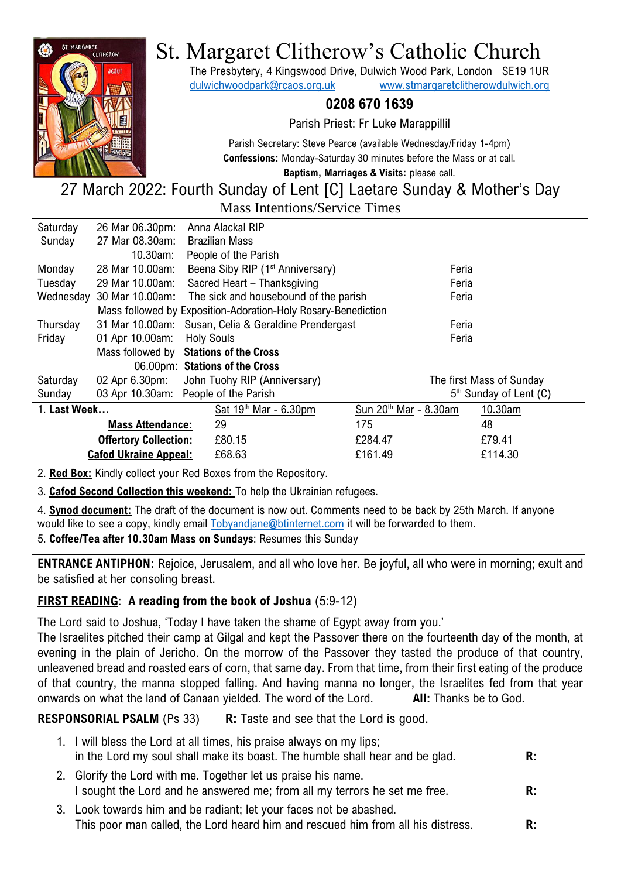

# St. Margaret Clitherow's Catholic Church

The Presbytery, 4 Kingswood Drive, Dulwich Wood Park, London SE19 1UR [dulwichwoodpark@rcaos.org.uk](mailto:dulwichwoodpark@rcaos.org.uk) [www.stmargaretclitherowdulwich.org](http://www.stmargaretclitherowdulwich.org/)

## **0208 670 1639**

Parish Priest: Fr Luke Marappillil

Parish Secretary: Steve Pearce (available Wednesday/Friday 1-4pm) **Confessions:** Monday-Saturday 30 minutes before the Mass or at call.

**Baptism, Marriages & Visits:** please call.

# 27 March 2022: Fourth Sunday of Lent [C] Laetare Sunday & Mother's Day Mass Intentions/Service Times

| Saturday                                                               | 26 Mar 06.30pm: | Anna Alackal RIP                                                |                                   |                                    |
|------------------------------------------------------------------------|-----------------|-----------------------------------------------------------------|-----------------------------------|------------------------------------|
| Sunday                                                                 | 27 Mar 08.30am: | <b>Brazilian Mass</b>                                           |                                   |                                    |
|                                                                        | 10.30am:        | People of the Parish                                            |                                   |                                    |
| Monday                                                                 | 28 Mar 10.00am: | Beena Siby RIP (1 <sup>st</sup> Anniversary)                    | Feria                             |                                    |
| Tuesday                                                                | 29 Mar 10.00am: | Sacred Heart - Thanksgiving                                     | Feria                             |                                    |
|                                                                        |                 | Wednesday 30 Mar 10.00am: The sick and housebound of the parish | Feria                             |                                    |
| Mass followed by Exposition-Adoration-Holy Rosary-Benediction          |                 |                                                                 |                                   |                                    |
| Thursday                                                               |                 | 31 Mar 10.00am: Susan, Celia & Geraldine Prendergast            | Feria                             |                                    |
| Friday                                                                 | 01 Apr 10.00am: | <b>Holy Souls</b>                                               | Feria                             |                                    |
| Mass followed by Stations of the Cross                                 |                 |                                                                 |                                   |                                    |
| 06.00pm: Stations of the Cross                                         |                 |                                                                 |                                   |                                    |
| Saturday                                                               |                 | 02 Apr 6.30pm: John Tuohy RIP (Anniversary)                     |                                   | The first Mass of Sunday           |
| Sunday                                                                 |                 | 03 Apr 10.30am: People of the Parish                            |                                   | 5 <sup>th</sup> Sunday of Lent (C) |
| 1. Last Week                                                           |                 | Sat $19th$ Mar - 6.30pm                                         | Sun 20 <sup>th</sup> Mar - 8.30am | 10.30am                            |
| <b>Mass Attendance:</b>                                                |                 | 29                                                              | 175                               | 48                                 |
| <b>Offertory Collection:</b>                                           |                 | £80.15                                                          | £284.47                           | £79.41                             |
| <b>Cafod Ukraine Appeal:</b>                                           |                 | £68.63                                                          | £161.49                           | £114.30                            |
| <b>Rad Roy:</b> Kindly collect your Red Royes from the Repository<br>2 |                 |                                                                 |                                   |                                    |

2. **Red Box:** Kindly collect your Red Boxes from the Repository.

3. **Cafod Second Collection this weekend:** To help the Ukrainian refugees.

4. **Synod document:** The draft of the document is now out. Comments need to be back by 25th March. If anyone would like to see a copy, kindly email [Tobyandjane@btinternet.com](mailto:Tobyandjane@btinternet.com) it will be forwarded to them.

5. **Coffee/Tea after 10.30am Mass on Sundays**: Resumes this Sunday

**ENTRANCE ANTIPHON:** Rejoice, Jerusalem, and all who love her. Be joyful, all who were in morning; exult and be satisfied at her consoling breast.

# **FIRST READING**: **A reading from the book of Joshua** (5:9-12)

The Lord said to Joshua, 'Today I have taken the shame of Egypt away from you.'

The Israelites pitched their camp at Gilgal and kept the Passover there on the fourteenth day of the month, at evening in the plain of Jericho. On the morrow of the Passover they tasted the produce of that country, unleavened bread and roasted ears of corn, that same day. From that time, from their first eating of the produce of that country, the manna stopped falling. And having manna no longer, the Israelites fed from that year onwards on what the land of Canaan yielded. The word of the Lord. **All:** Thanks be to God.

**RESPONSORIAL PSALM** (Ps 33) **R:** Taste and see that the Lord is good.

- 1. I will bless the Lord at all times, his praise always on my lips; in the Lord my soul shall make its boast. The humble shall hear and be glad. **R:**
- 2. Glorify the Lord with me. Together let us praise his name. I sought the Lord and he answered me; from all my terrors he set me free. **R:**
- 3. Look towards him and be radiant; let your faces not be abashed. This poor man called, the Lord heard him and rescued him from all his distress. **R:**